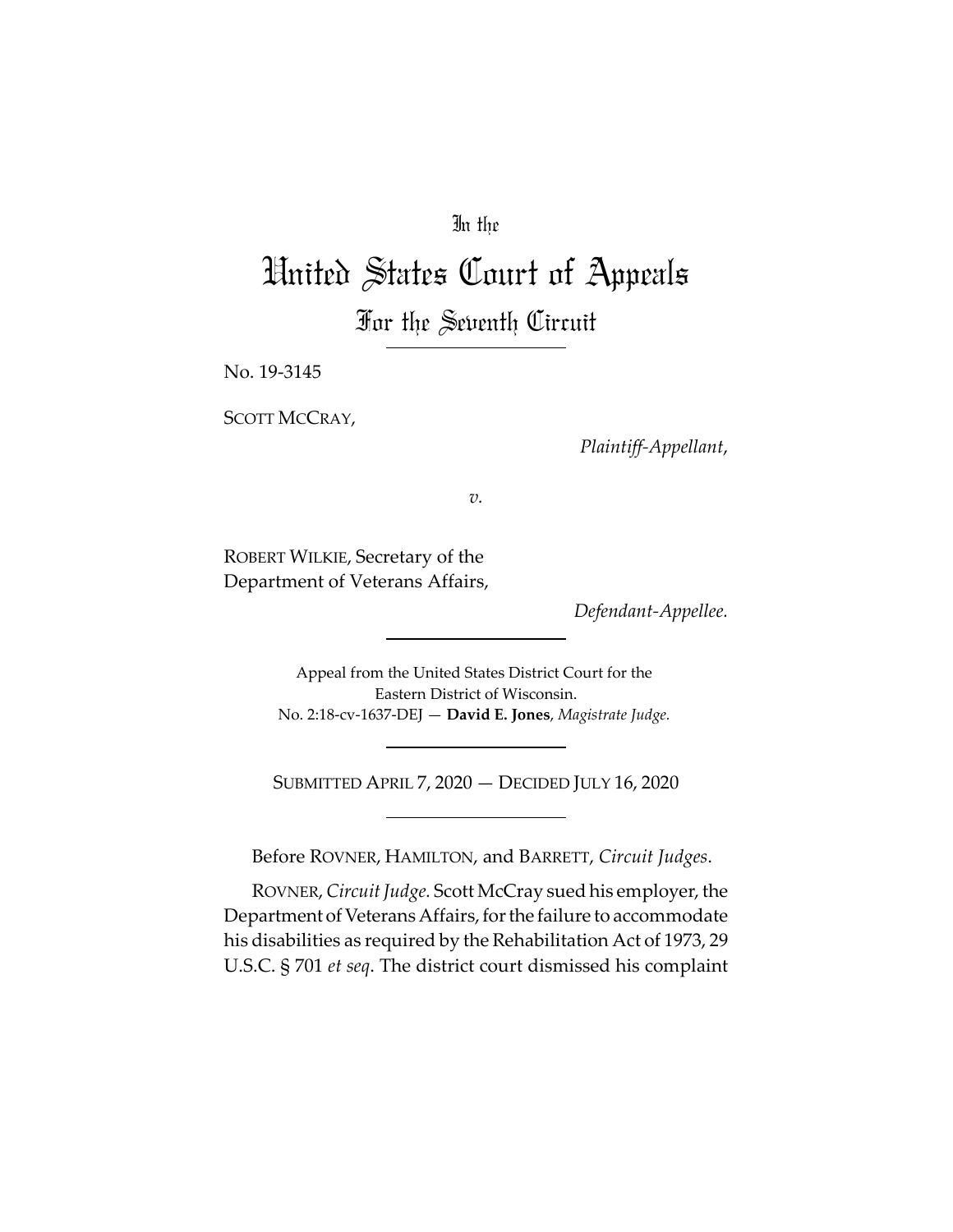## In the

# United States Court of Appeals For the Seventh Circuit

No. 19‐3145

SCOTT MCCRAY,

*Plaintiff‐Appellant*,

*v.*

ROBERT WILKIE, Secretary of the Department of Veterans Affairs,

*Defendant‐Appellee.*

Appeal from the United States District Court for the Eastern District of Wisconsin. No. 2:18‐cv‐1637‐DEJ — **David E. Jones**, *Magistrate Judge.*

SUBMITTED APRIL 7, 2020 — DECIDED JULY 16, 2020

Before ROVNER, HAMILTON, and BARRETT, *Circuit Judges*.

ROVNER,*Circuit Judge.* Scott McCray sued his employer, the Department of Veterans Affairs, for the failure to accommodate his disabilities as required by the Rehabilitation Act of 1973, 29 U.S.C. § 701 *et seq*. The district court dismissed his complaint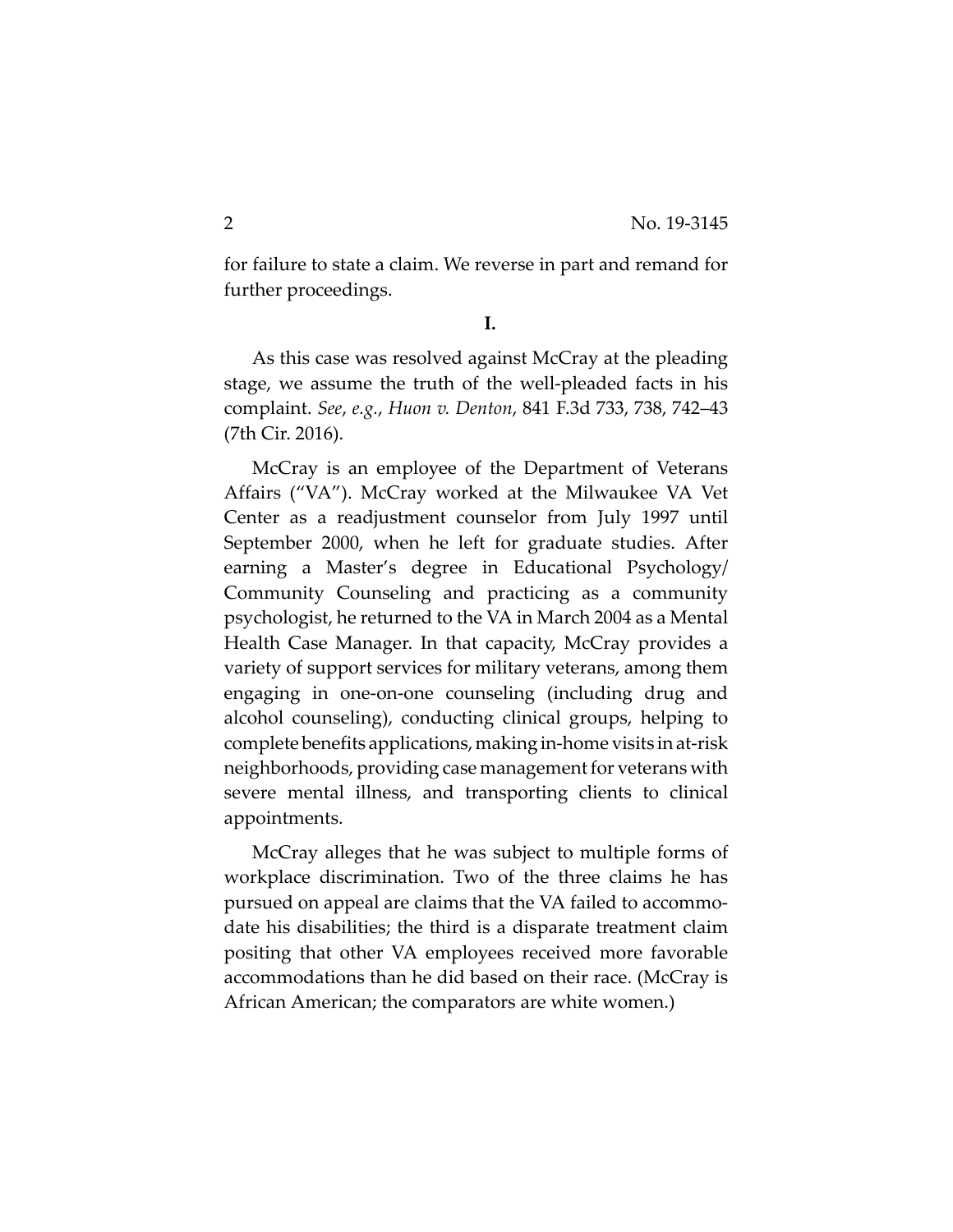for failure to state a claim. We reverse in part and remand for further proceedings.

**I.**

As this case was resolved against McCray at the pleading stage, we assume the truth of the well‐pleaded facts in his complaint. *See*, *e.g.*, *Huon v. Denton*, 841 F.3d 733, 738, 742–43 (7th Cir. 2016).

McCray is an employee of the Department of Veterans Affairs ("VA"). McCray worked at the Milwaukee VA Vet Center as a readjustment counselor from July 1997 until September 2000, when he left for graduate studies. After earning a Master's degree in Educational Psychology/ Community Counseling and practicing as a community psychologist, he returned to the VA in March 2004 as a Mental Health Case Manager. In that capacity, McCray provides a variety of support services for military veterans, among them engaging in one‐on‐one counseling (including drug and alcohol counseling), conducting clinical groups, helping to complete benefits applications, making in-home visits in at-risk neighborhoods, providing case management for veterans with severe mental illness, and transporting clients to clinical appointments.

McCray alleges that he was subject to multiple forms of workplace discrimination. Two of the three claims he has pursued on appeal are claims that the VA failed to accommo‐ date his disabilities; the third is a disparate treatment claim positing that other VA employees received more favorable accommodations than he did based on their race. (McCray is African American; the comparators are white women.)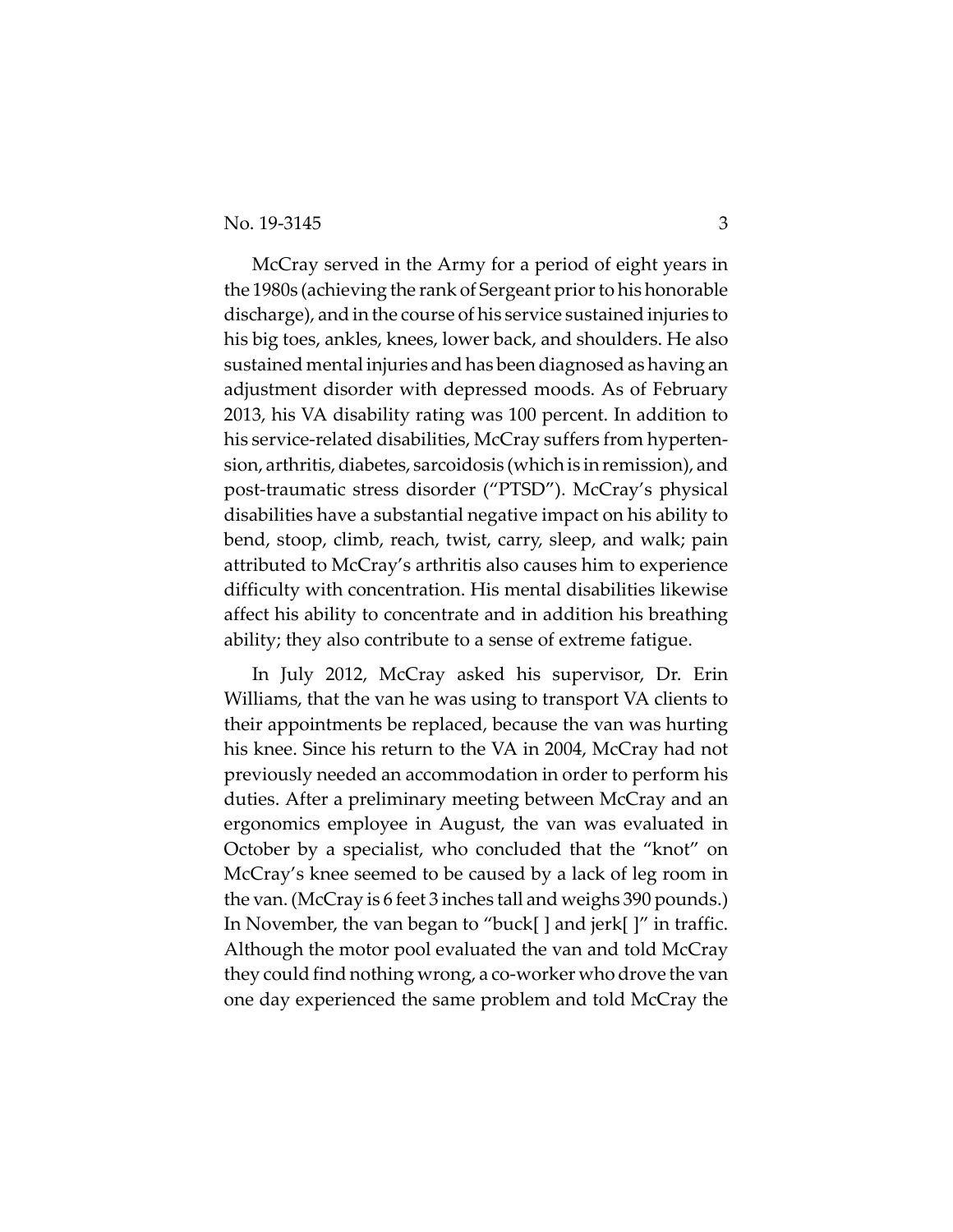#### No. 19-3145 3

McCray served in the Army for a period of eight years in the 1980s (achieving the rank of Sergeant prior to his honorable discharge), and in the course of his service sustained injuries to his big toes, ankles, knees, lower back, and shoulders. He also sustained mental injuries and has been diagnosed as having an adjustment disorder with depressed moods. As of February 2013, his VA disability rating was 100 percent. In addition to his service-related disabilities, McCray suffers from hypertension, arthritis, diabetes, sarcoidosis (which is in remission), and post‐traumatic stress disorder ("PTSD"). McCray's physical disabilities have a substantial negative impact on his ability to bend, stoop, climb, reach, twist, carry, sleep, and walk; pain attributed to McCray's arthritis also causes him to experience difficulty with concentration. His mental disabilities likewise affect his ability to concentrate and in addition his breathing ability; they also contribute to a sense of extreme fatigue.

In July 2012, McCray asked his supervisor, Dr. Erin Williams, that the van he was using to transport VA clients to their appointments be replaced, because the van was hurting his knee. Since his return to the VA in 2004, McCray had not previously needed an accommodation in order to perform his duties. After a preliminary meeting between McCray and an ergonomics employee in August, the van was evaluated in October by a specialist, who concluded that the "knot" on McCray's knee seemed to be caused by a lack of leg room in the van. (McCray is 6 feet 3 inches tall and weighs 390 pounds.) In November, the van began to "buck[ ] and jerk[ ]" in traffic. Although the motor pool evaluated the van and told McCray they could find nothing wrong, a co‐worker who drove the van one day experienced the same problem and told McCray the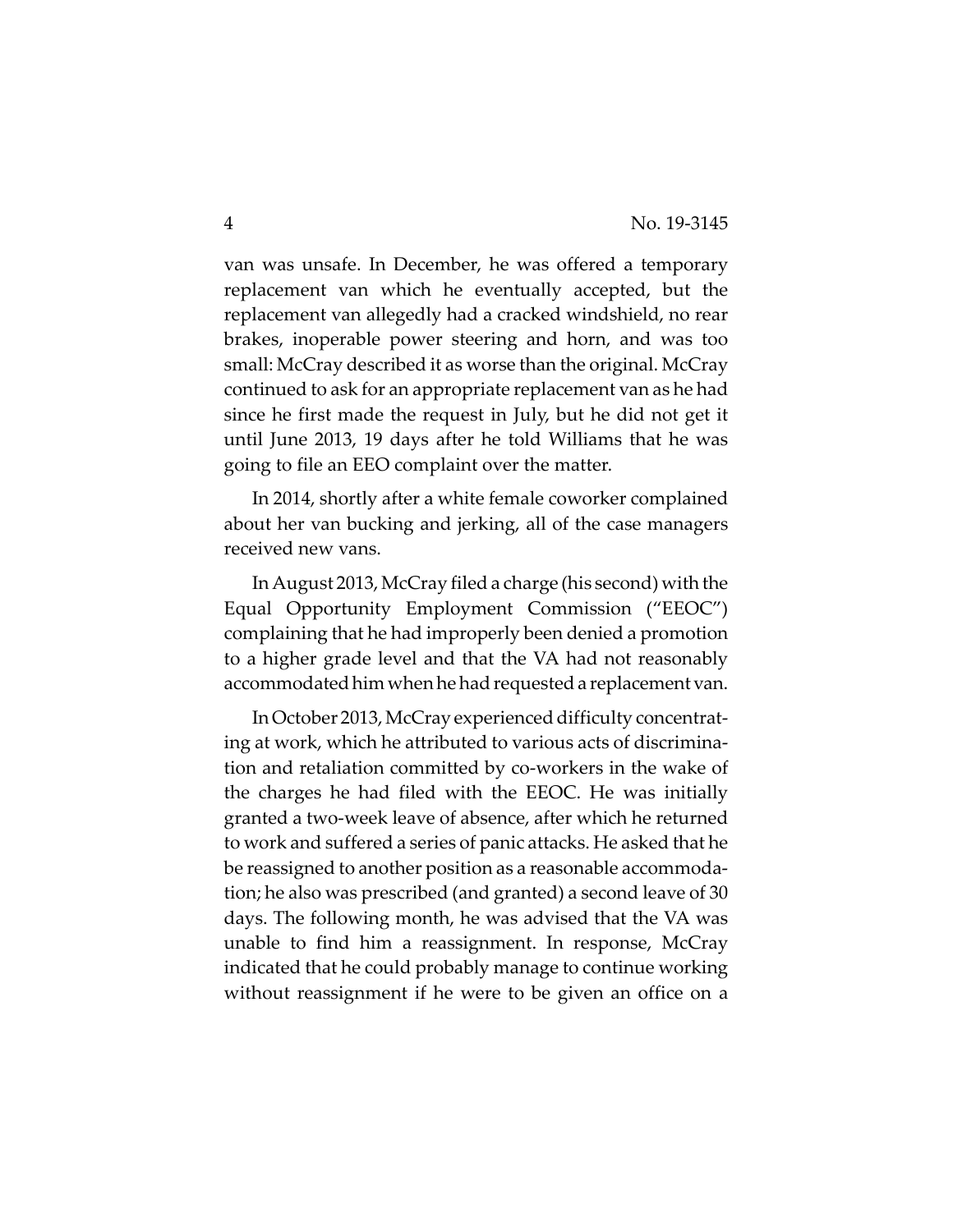van was unsafe. In December, he was offered a temporary replacement van which he eventually accepted, but the replacement van allegedly had a cracked windshield, no rear brakes, inoperable power steering and horn, and was too small: McCray described it as worse than the original. McCray continued to ask for an appropriate replacement van as he had since he first made the request in July, but he did not get it until June 2013, 19 days after he told Williams that he was going to file an EEO complaint over the matter.

In 2014, shortly after a white female coworker complained about her van bucking and jerking, all of the case managers received new vans.

InAugust 2013,McCray filed a charge (his second) with the Equal Opportunity Employment Commission ("EEOC") complaining that he had improperly been denied a promotion to a higher grade level and that the VA had not reasonably accommodated him when he had requested a replacement van.

In October 2013, McCray experienced difficulty concentrating at work, which he attributed to various acts of discrimina‐ tion and retaliation committed by co‐workers in the wake of the charges he had filed with the EEOC. He was initially granted a two‐week leave of absence, after which he returned to work and suffered a series of panic attacks. He asked that he be reassigned to another position as a reasonable accommoda‐ tion; he also was prescribed (and granted) a second leave of 30 days. The following month, he was advised that the VA was unable to find him a reassignment. In response, McCray indicated that he could probably manage to continue working without reassignment if he were to be given an office on a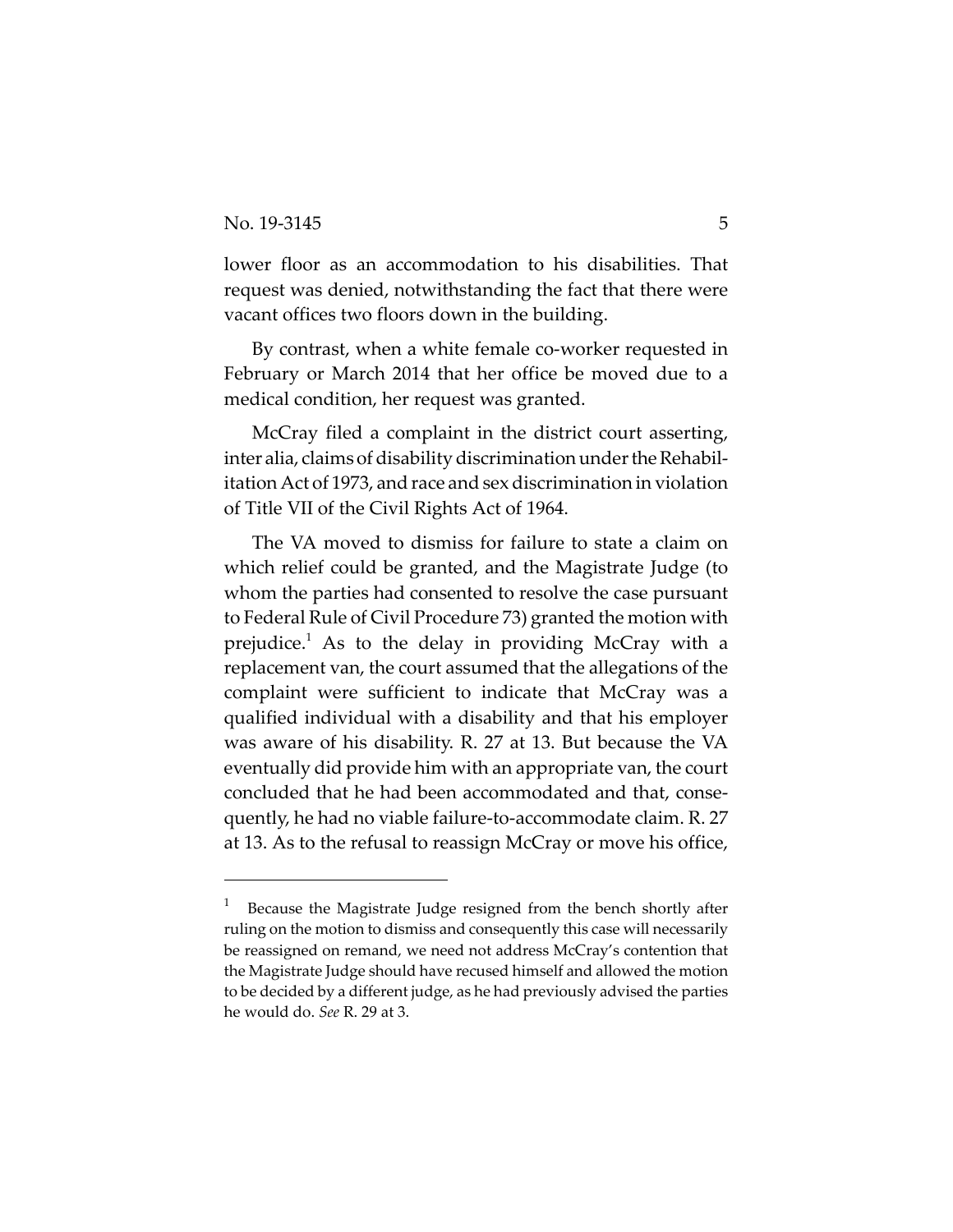lower floor as an accommodation to his disabilities. That request was denied, notwithstanding the fact that there were vacant offices two floors down in the building.

By contrast, when a white female co-worker requested in February or March 2014 that her office be moved due to a medical condition, her request was granted.

McCray filed a complaint in the district court asserting, inter alia, claims of disability discrimination under the Rehabilitation Act of 1973, and race and sex discrimination in violation of Title VII of the Civil Rights Act of 1964.

The VA moved to dismiss for failure to state a claim on which relief could be granted, and the Magistrate Judge (to whom the parties had consented to resolve the case pursuant to Federal Rule of Civil Procedure 73) granted the motion with prejudice.1 As to the delay in providing McCray with a replacement van, the court assumed that the allegations of the complaint were sufficient to indicate that McCray was a qualified individual with a disability and that his employer was aware of his disability. R. 27 at 13. But because the VA eventually did provide him with an appropriate van, the court concluded that he had been accommodated and that, conse‐ quently, he had no viable failure‐to‐accommodate claim. R. 27 at 13. As to the refusal to reassign McCray or move his office,

<sup>1</sup> Because the Magistrate Judge resigned from the bench shortly after ruling on the motion to dismiss and consequently this case will necessarily be reassigned on remand, we need not address McCray's contention that the Magistrate Judge should have recused himself and allowed the motion to be decided by a different judge, as he had previously advised the parties he would do. *See* R. 29 at 3.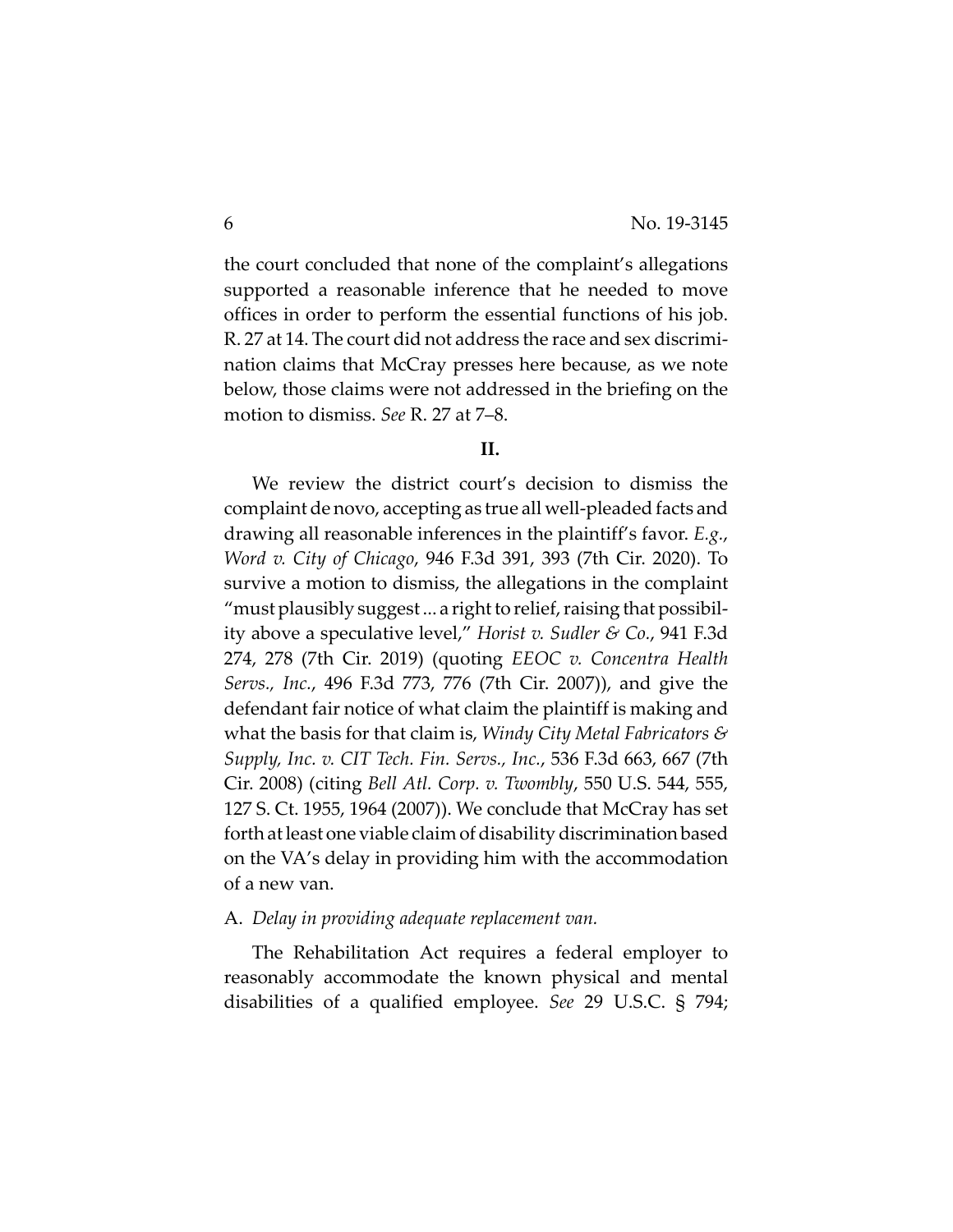the court concluded that none of the complaint's allegations supported a reasonable inference that he needed to move offices in order to perform the essential functions of his job. R. 27 at 14. The court did not address the race and sex discrimi‐ nation claims that McCray presses here because, as we note below, those claims were not addressed in the briefing on the motion to dismiss. *See* R. 27 at 7–8.

#### **II.**

We review the district court's decision to dismiss the complaint de novo, accepting as true all well‐pleaded facts and drawing all reasonable inferences in the plaintiff's favor. *E.g.*, *Word v. City of Chicago*, 946 F.3d 391, 393 (7th Cir. 2020). To survive a motion to dismiss, the allegations in the complaint "must plausibly suggest... a right to relief, raising that possibility above a speculative level," *Horist v. Sudler & Co.*, 941 F.3d 274, 278 (7th Cir. 2019) (quoting *EEOC v. Concentra Health Servs., Inc.*, 496 F.3d 773, 776 (7th Cir. 2007)), and give the defendant fair notice of what claim the plaintiff is making and what the basis for that claim is, *Windy City Metal Fabricators & Supply, Inc. v. CIT Tech. Fin. Servs., Inc.*, 536 F.3d 663, 667 (7th Cir. 2008) (citing *Bell Atl. Corp. v. Twombly*, 550 U.S. 544, 555, 127 S. Ct. 1955, 1964 (2007)). We conclude that McCray has set forth at least one viable claim of disability discrimination based on the VA's delay in providing him with the accommodation of a new van.

#### A. *Delay in providing adequate replacement van.*

The Rehabilitation Act requires a federal employer to reasonably accommodate the known physical and mental disabilities of a qualified employee. *See* 29 U.S.C. § 794;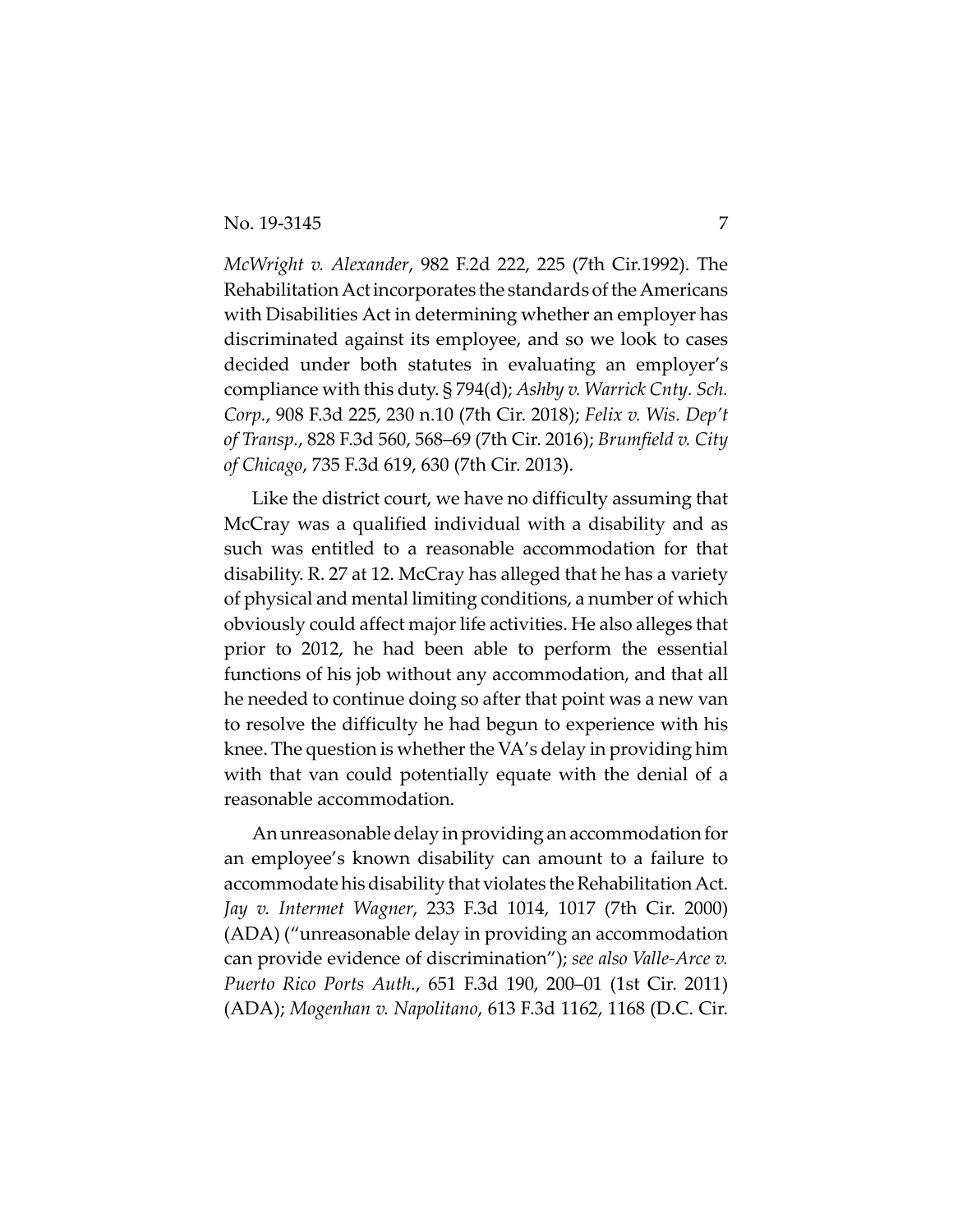#### No. 19-3145 7

*McWright v. Alexander*, 982 F.2d 222, 225 (7th Cir.1992). The Rehabilitation Act incorporates the standards of the Americans with Disabilities Act in determining whether an employer has discriminated against its employee, and so we look to cases decided under both statutes in evaluating an employer's compliance with this duty. § 794(d); *Ashby v. Warrick Cnty. Sch. Corp.*, 908 F.3d 225, 230 n.10 (7th Cir. 2018); *Felix v. Wis. Dep't of Transp.*, 828 F.3d 560, 568–69 (7th Cir. 2016); *Brumfield v. City of Chicago*, 735 F.3d 619, 630 (7th Cir. 2013).

Like the district court, we have no difficulty assuming that McCray was a qualified individual with a disability and as such was entitled to a reasonable accommodation for that disability. R. 27 at 12. McCray has alleged that he has a variety of physical and mental limiting conditions, a number of which obviously could affect major life activities. He also alleges that prior to 2012, he had been able to perform the essential functions of his job without any accommodation, and that all he needed to continue doing so after that point was a new van to resolve the difficulty he had begun to experience with his knee. The question is whether the VA's delay in providing him with that van could potentially equate with the denial of a reasonable accommodation.

An unreasonable delay in providing an accommodation for an employee's known disability can amount to a failure to accommodate his disability that violates the Rehabilitation Act. *Jay v. Intermet Wagner*, 233 F.3d 1014, 1017 (7th Cir. 2000) (ADA) ("unreasonable delay in providing an accommodation can provide evidence of discrimination"); *see also Valle‐Arce v. Puerto Rico Ports Auth.*, 651 F.3d 190, 200–01 (1st Cir. 2011) (ADA); *Mogenhan v. Napolitano*, 613 F.3d 1162, 1168 (D.C. Cir.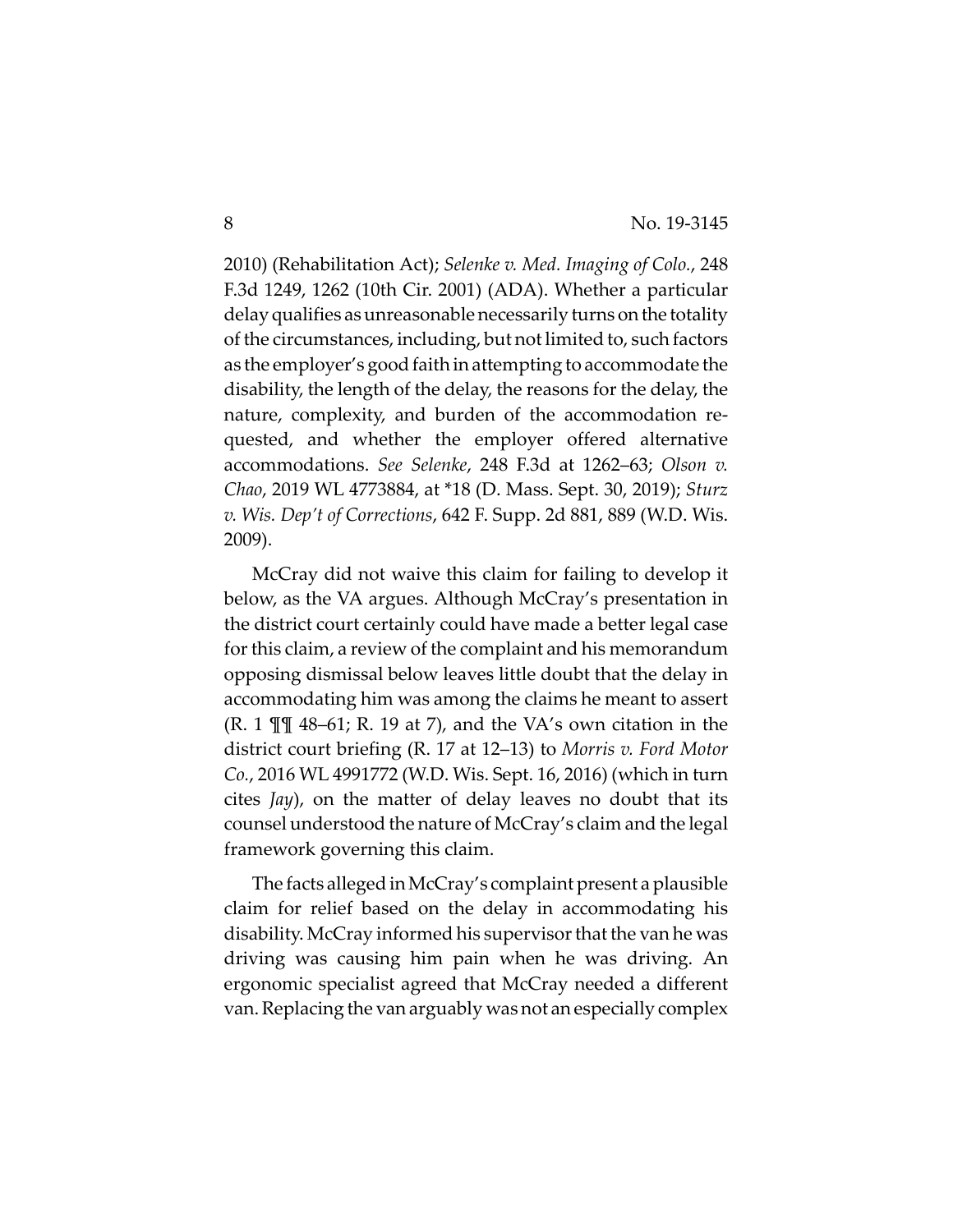2010) (Rehabilitation Act); *Selenke v. Med. Imaging of Colo.*, 248 F.3d 1249, 1262 (10th Cir. 2001) (ADA). Whether a particular delay qualifies as unreasonable necessarily turns on the totality of the circumstances, including, but not limited to, such factors as the employer's good faith in attempting to accommodate the disability, the length of the delay, the reasons for the delay, the nature, complexity, and burden of the accommodation re‐ quested, and whether the employer offered alternative accommodations. *See Selenke*, 248 F.3d at 1262–63; *Olson v. Chao*, 2019 WL 4773884, at \*18 (D. Mass. Sept. 30, 2019); *Sturz v. Wis. Dep't of Corrections*, 642 F. Supp. 2d 881, 889 (W.D. Wis. 2009).

McCray did not waive this claim for failing to develop it below, as the VA argues. Although McCray's presentation in the district court certainly could have made a better legal case for this claim, a review of the complaint and his memorandum opposing dismissal below leaves little doubt that the delay in accommodating him was among the claims he meant to assert  $(R. 1 \mathbb{H} \mathbb{I} \mathbb{A}^{-61}$ ; R. 19 at 7), and the VA's own citation in the district court briefing (R. 17 at 12–13) to *Morris v. Ford Motor Co.*, 2016 WL 4991772 (W.D. Wis. Sept. 16, 2016) (which in turn cites *Jay*), on the matter of delay leaves no doubt that its counsel understood the nature of McCray's claim and the legal framework governing this claim.

The facts alleged in McCray's complaint present a plausible claim for relief based on the delay in accommodating his disability. McCray informed his supervisorthat the van he was driving was causing him pain when he was driving. An ergonomic specialist agreed that McCray needed a different van.Replacing the van arguably was not an especially complex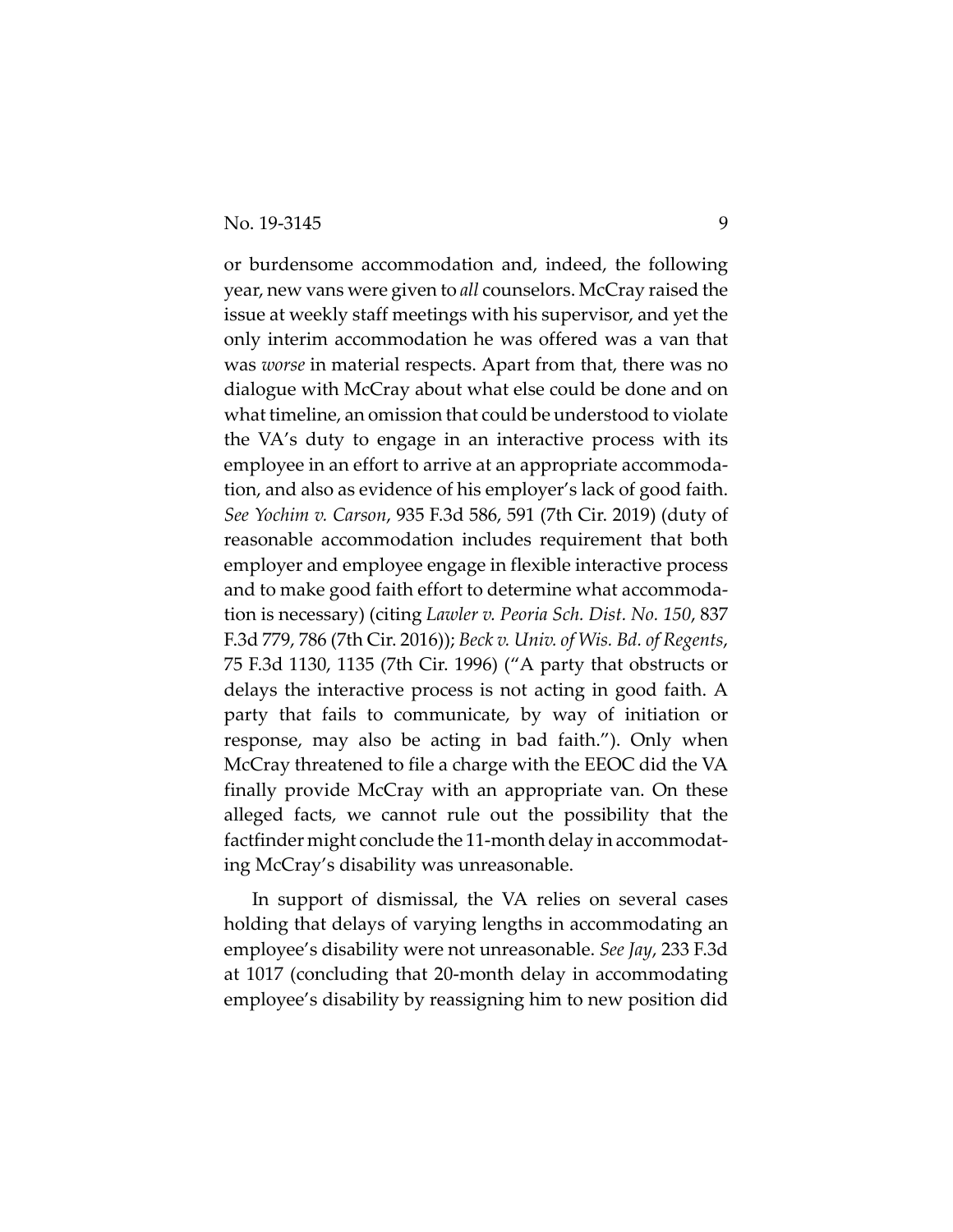or burdensome accommodation and, indeed, the following year, new vans were given to *all* counselors. McCray raised the issue at weekly staff meetings with his supervisor, and yet the only interim accommodation he was offered was a van that was *worse* in material respects. Apart from that, there was no dialogue with McCray about what else could be done and on what timeline, an omission that could be understood to violate the VA's duty to engage in an interactive process with its employee in an effort to arrive at an appropriate accommoda‐ tion, and also as evidence of his employer's lack of good faith. *See Yochim v. Carson*, 935 F.3d 586, 591 (7th Cir. 2019) (duty of reasonable accommodation includes requirement that both employer and employee engage in flexible interactive process and to make good faith effort to determine what accommoda‐ tion is necessary) (citing *Lawler v. Peoria Sch. Dist. No. 150*, 837 F.3d 779, 786 (7th Cir. 2016)); *Beck v. Univ. of Wis. Bd. of Regents*, 75 F.3d 1130, 1135 (7th Cir. 1996) ("A party that obstructs or delays the interactive process is not acting in good faith. A party that fails to communicate, by way of initiation or response, may also be acting in bad faith."). Only when McCray threatened to file a charge with the EEOC did the VA finally provide McCray with an appropriate van. On these alleged facts, we cannot rule out the possibility that the factfinder might conclude the 11‐month delay in accommodat‐ ing McCray's disability was unreasonable.

In support of dismissal, the VA relies on several cases holding that delays of varying lengths in accommodating an employee's disability were not unreasonable. *See Jay*, 233 F.3d at 1017 (concluding that 20‐month delay in accommodating employee's disability by reassigning him to new position did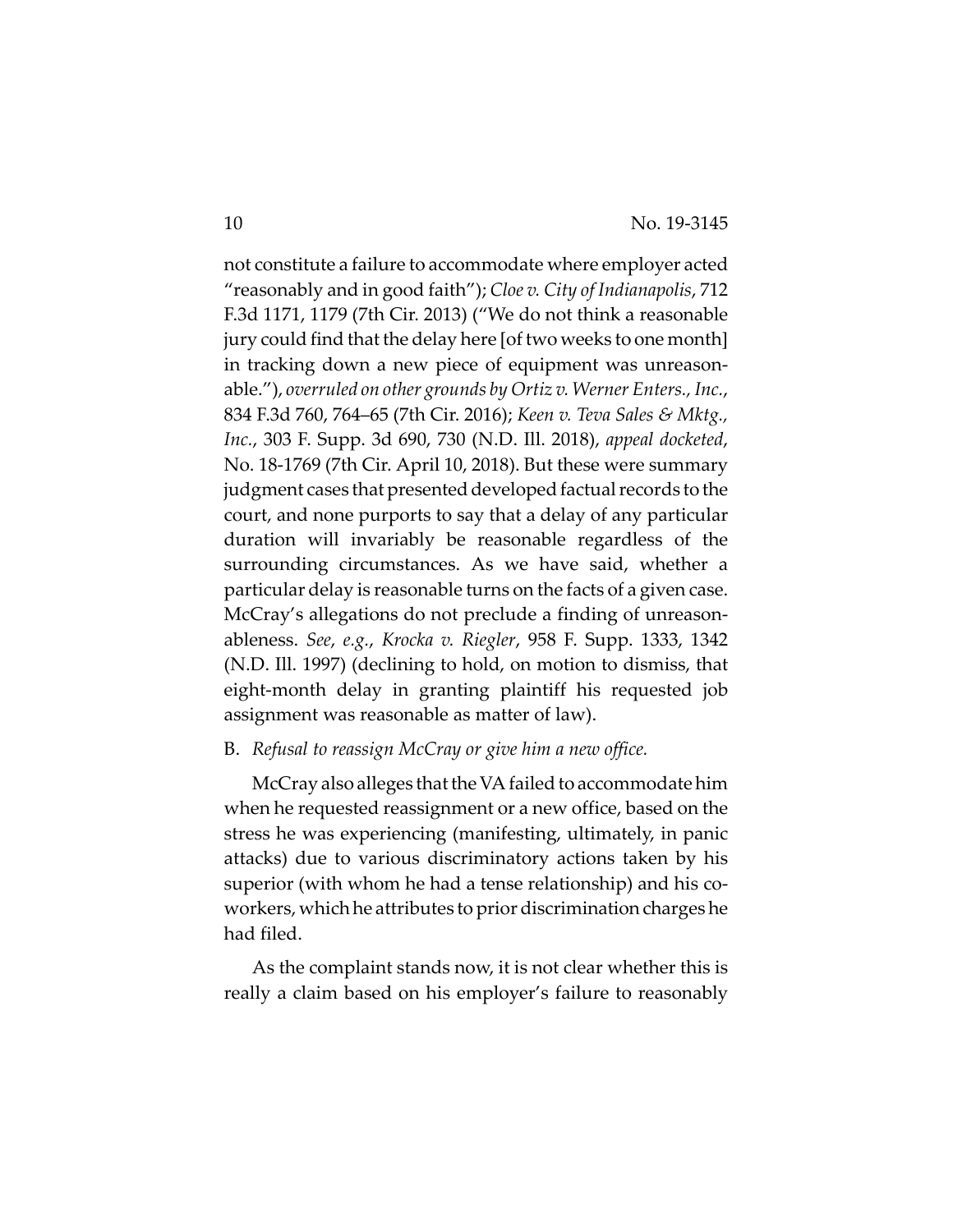not constitute a failure to accommodate where employer acted "reasonably and in good faith"); *Cloe v. City of Indianapolis*, 712 F.3d 1171, 1179 (7th Cir. 2013) ("We do not think a reasonable jury could find that the delay here [of two weeks to one month] in tracking down a new piece of equipment was unreasonable."), *overruled on other grounds by Ortiz v. Werner Enters., Inc.*, 834 F.3d 760, 764–65 (7th Cir. 2016); *Keen v. Teva Sales & Mktg., Inc.*, 303 F. Supp. 3d 690, 730 (N.D. Ill. 2018), *appeal docketed*, No. 18‐1769 (7th Cir. April 10, 2018). But these were summary judgment cases that presented developed factual records to the court, and none purports to say that a delay of any particular duration will invariably be reasonable regardless of the surrounding circumstances. As we have said, whether a particular delay is reasonable turns on the facts of a given case. McCray's allegations do not preclude a finding of unreasonableness. *See*, *e.g.*, *Krocka v. Riegler*, 958 F. Supp. 1333, 1342 (N.D. Ill. 1997) (declining to hold, on motion to dismiss, that eight‐month delay in granting plaintiff his requested job assignment was reasonable as matter of law).

#### B. *Refusal to reassign McCray or give him a new office.*

McCray also alleges that the VA failed to accommodate him when he requested reassignment or a new office, based on the stress he was experiencing (manifesting, ultimately, in panic attacks) due to various discriminatory actions taken by his superior (with whom he had a tense relationship) and his co‐ workers, which he attributes to prior discrimination charges he had filed.

As the complaint stands now, it is not clear whether this is really a claim based on his employer's failure to reasonably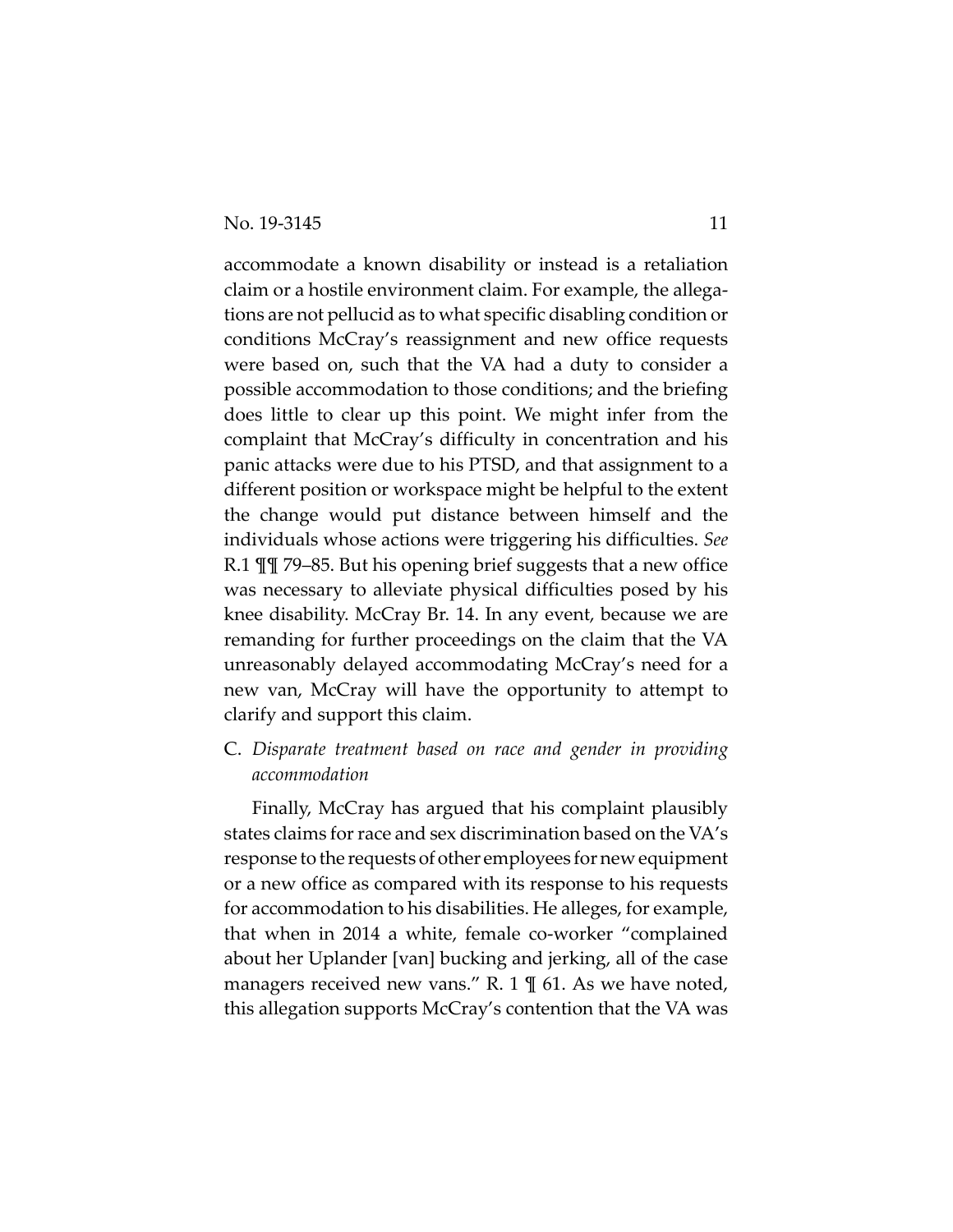accommodate a known disability or instead is a retaliation claim or a hostile environment claim. For example, the allega‐ tions are not pellucid as to what specific disabling condition or conditions McCray's reassignment and new office requests were based on, such that the VA had a duty to consider a possible accommodation to those conditions; and the briefing does little to clear up this point. We might infer from the complaint that McCray's difficulty in concentration and his panic attacks were due to his PTSD, and that assignment to a different position or workspace might be helpful to the extent the change would put distance between himself and the individuals whose actions were triggering his difficulties. *See* R.1 ¶¶ 79–85. But his opening brief suggests that a new office was necessary to alleviate physical difficulties posed by his knee disability. McCray Br. 14. In any event, because we are remanding for further proceedings on the claim that the VA unreasonably delayed accommodating McCray's need for a new van, McCray will have the opportunity to attempt to clarify and support this claim.

C. *Disparate treatment based on race and gender in providing accommodation*

Finally, McCray has argued that his complaint plausibly states claims for race and sex discrimination based on the VA's response to the requests of other employees for new equipment or a new office as compared with its response to his requests for accommodation to his disabilities. He alleges, for example, that when in 2014 a white, female co‐worker "complained about her Uplander [van] bucking and jerking, all of the case managers received new vans." R. 1  $\parallel$  61. As we have noted, this allegation supports McCray's contention that the VA was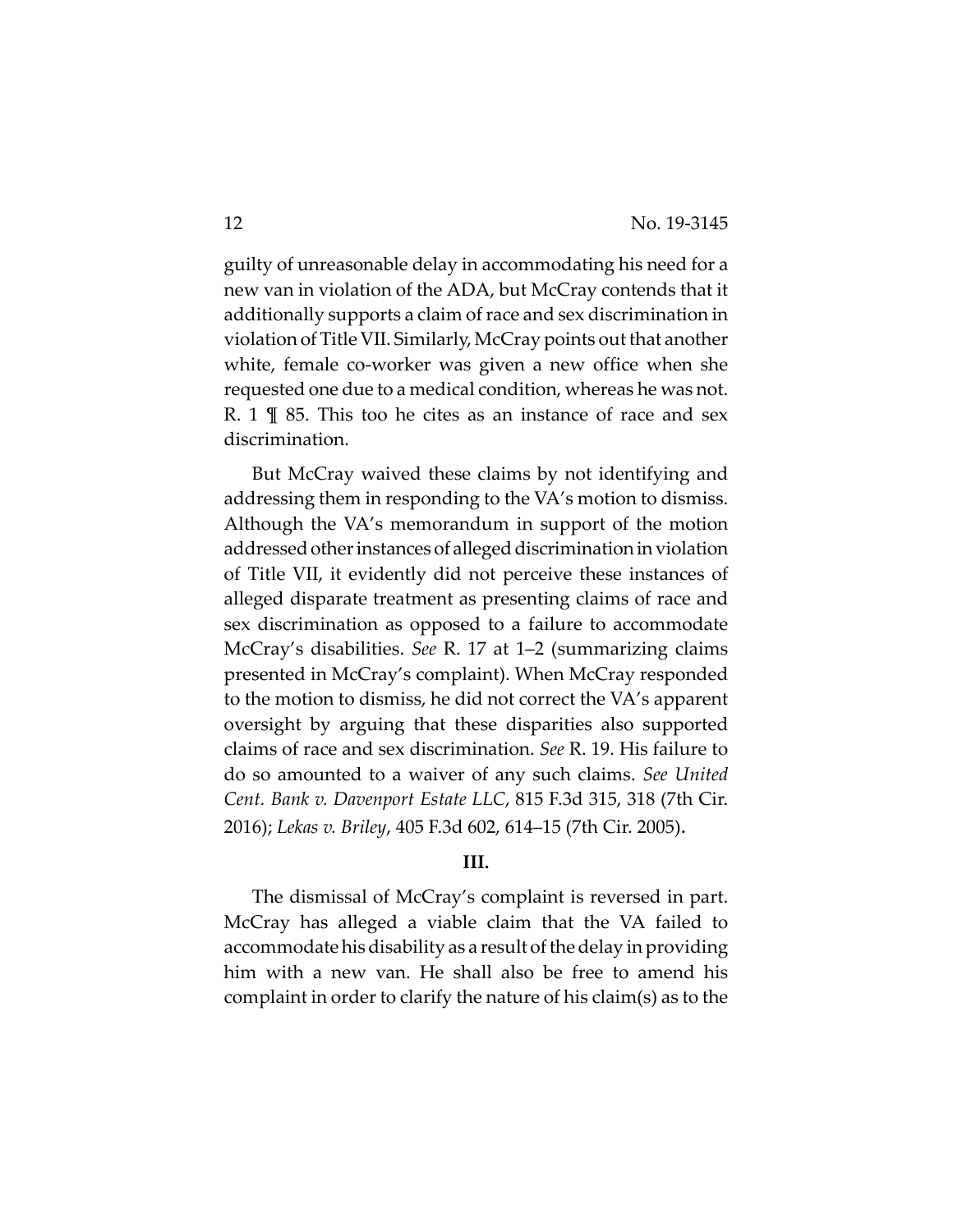guilty of unreasonable delay in accommodating his need for a new van in violation of the ADA, but McCray contends that it additionally supports a claim ofrace and sex discrimination in violation of Title VII. Similarly, McCray points out that another white, female co-worker was given a new office when she requested one due to a medical condition, whereas he was not. R. 1  $\parallel$  85. This too he cites as an instance of race and sex discrimination.

But McCray waived these claims by not identifying and addressing them in responding to the VA's motion to dismiss. Although the VA's memorandum in support of the motion addressed other instances of alleged discrimination in violation of Title VII, it evidently did not perceive these instances of alleged disparate treatment as presenting claims of race and sex discrimination as opposed to a failure to accommodate McCray's disabilities. *See* R. 17 at 1–2 (summarizing claims presented in McCray's complaint). When McCray responded to the motion to dismiss, he did not correct the VA's apparent oversight by arguing that these disparities also supported claims of race and sex discrimination. *See* R. 19. His failure to do so amounted to a waiver of any such claims. *See United Cent. Bank v. Davenport Estate LLC*, 815 F.3d 315, 318 (7th Cir. 2016); *Lekas v. Briley*, 405 F.3d 602, 614–15 (7th Cir. 2005).

### **III.**

The dismissal of McCray's complaint is reversed in part. McCray has alleged a viable claim that the VA failed to accommodate his disability as a result of the delay in providing him with a new van. He shall also be free to amend his complaint in order to clarify the nature of his claim(s) as to the